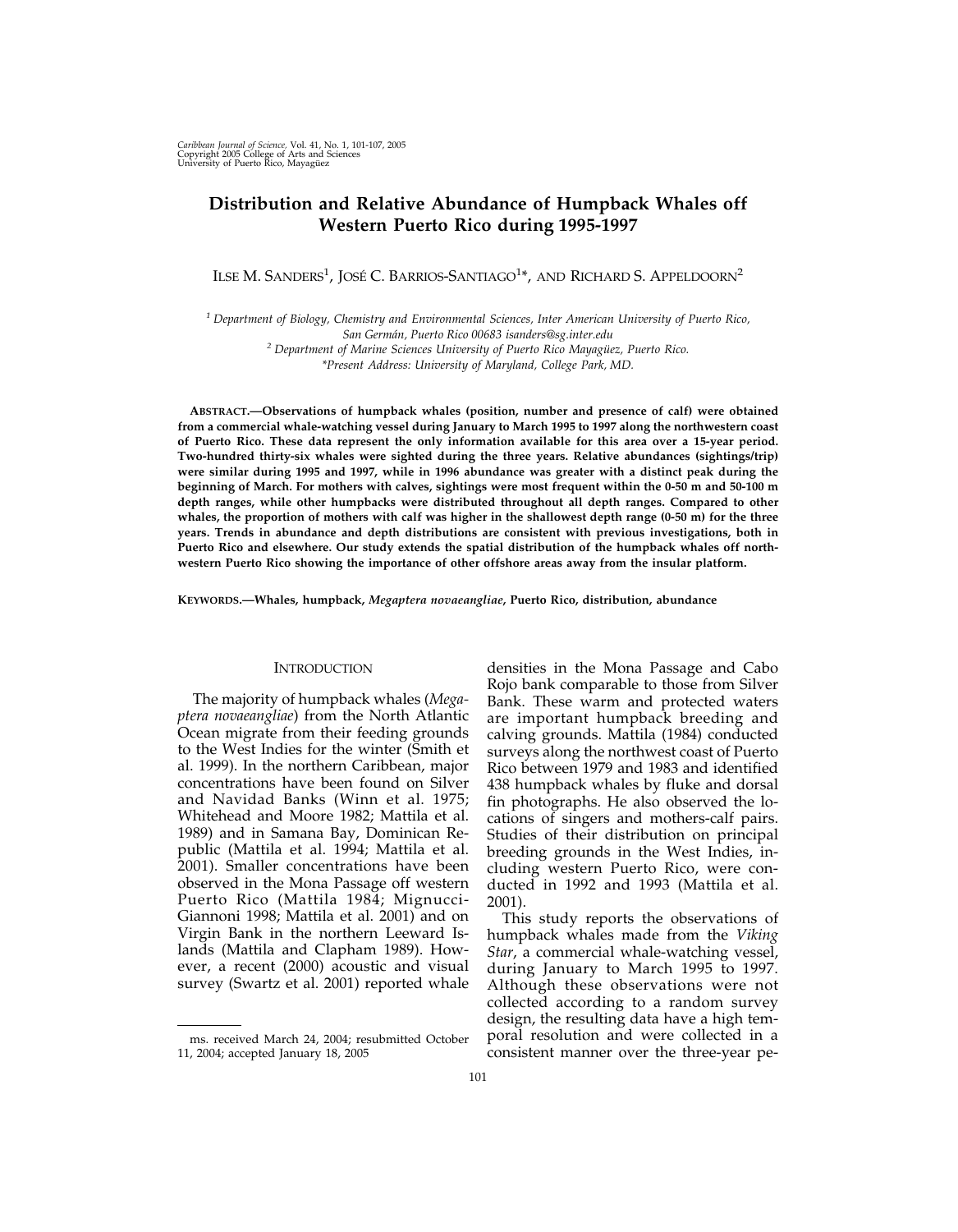# **Distribution and Relative Abundance of Humpback Whales off Western Puerto Rico during 1995-1997**

ILSE M. SANDERS $^1$ , JOSÉ C. BARRIOS-SANTIAGO $^{1*}$ , and Richard S. Appeldoorn $^2$ 

*<sup>1</sup> Department of Biology, Chemistry and Environmental Sciences, Inter American University of Puerto Rico, San Germán, Puerto Rico 00683 isanders@sg.inter.edu*

*<sup>2</sup> Department of Marine Sciences University of Puerto Rico Mayagüez, Puerto Rico.*

*\*Present Address: University of Maryland, College Park, MD.*

**ABSTRACT.—Observations of humpback whales (position, number and presence of calf) were obtained from a commercial whale-watching vessel during January to March 1995 to 1997 along the northwestern coast of Puerto Rico. These data represent the only information available for this area over a 15-year period. Two-hundred thirty-six whales were sighted during the three years. Relative abundances (sightings/trip) were similar during 1995 and 1997, while in 1996 abundance was greater with a distinct peak during the beginning of March. For mothers with calves, sightings were most frequent within the 0-50 m and 50-100 m depth ranges, while other humpbacks were distributed throughout all depth ranges. Compared to other whales, the proportion of mothers with calf was higher in the shallowest depth range (0-50 m) for the three years. Trends in abundance and depth distributions are consistent with previous investigations, both in Puerto Rico and elsewhere. Our study extends the spatial distribution of the humpback whales off northwestern Puerto Rico showing the importance of other offshore areas away from the insular platform.**

**KEYWORDS.—Whales, humpback,** *Megaptera novaeangliae***, Puerto Rico, distribution, abundance**

## **INTRODUCTION**

The majority of humpback whales (*Megaptera novaeangliae*) from the North Atlantic Ocean migrate from their feeding grounds to the West Indies for the winter (Smith et al. 1999). In the northern Caribbean, major concentrations have been found on Silver and Navidad Banks (Winn et al. 1975; Whitehead and Moore 1982; Mattila et al. 1989) and in Samana Bay, Dominican Republic (Mattila et al. 1994; Mattila et al. 2001). Smaller concentrations have been observed in the Mona Passage off western Puerto Rico (Mattila 1984; Mignucci-Giannoni 1998; Mattila et al. 2001) and on Virgin Bank in the northern Leeward Islands (Mattila and Clapham 1989). However, a recent (2000) acoustic and visual survey (Swartz et al. 2001) reported whale

densities in the Mona Passage and Cabo Rojo bank comparable to those from Silver Bank. These warm and protected waters are important humpback breeding and calving grounds. Mattila (1984) conducted surveys along the northwest coast of Puerto Rico between 1979 and 1983 and identified 438 humpback whales by fluke and dorsal fin photographs. He also observed the locations of singers and mothers-calf pairs. Studies of their distribution on principal breeding grounds in the West Indies, including western Puerto Rico, were conducted in 1992 and 1993 (Mattila et al. 2001).

This study reports the observations of humpback whales made from the *Viking Star*, a commercial whale-watching vessel, during January to March 1995 to 1997. Although these observations were not collected according to a random survey design, the resulting data have a high temporal resolution and were collected in a consistent manner over the three-year pe-

ms. received March 24, 2004; resubmitted October 11, 2004; accepted January 18, 2005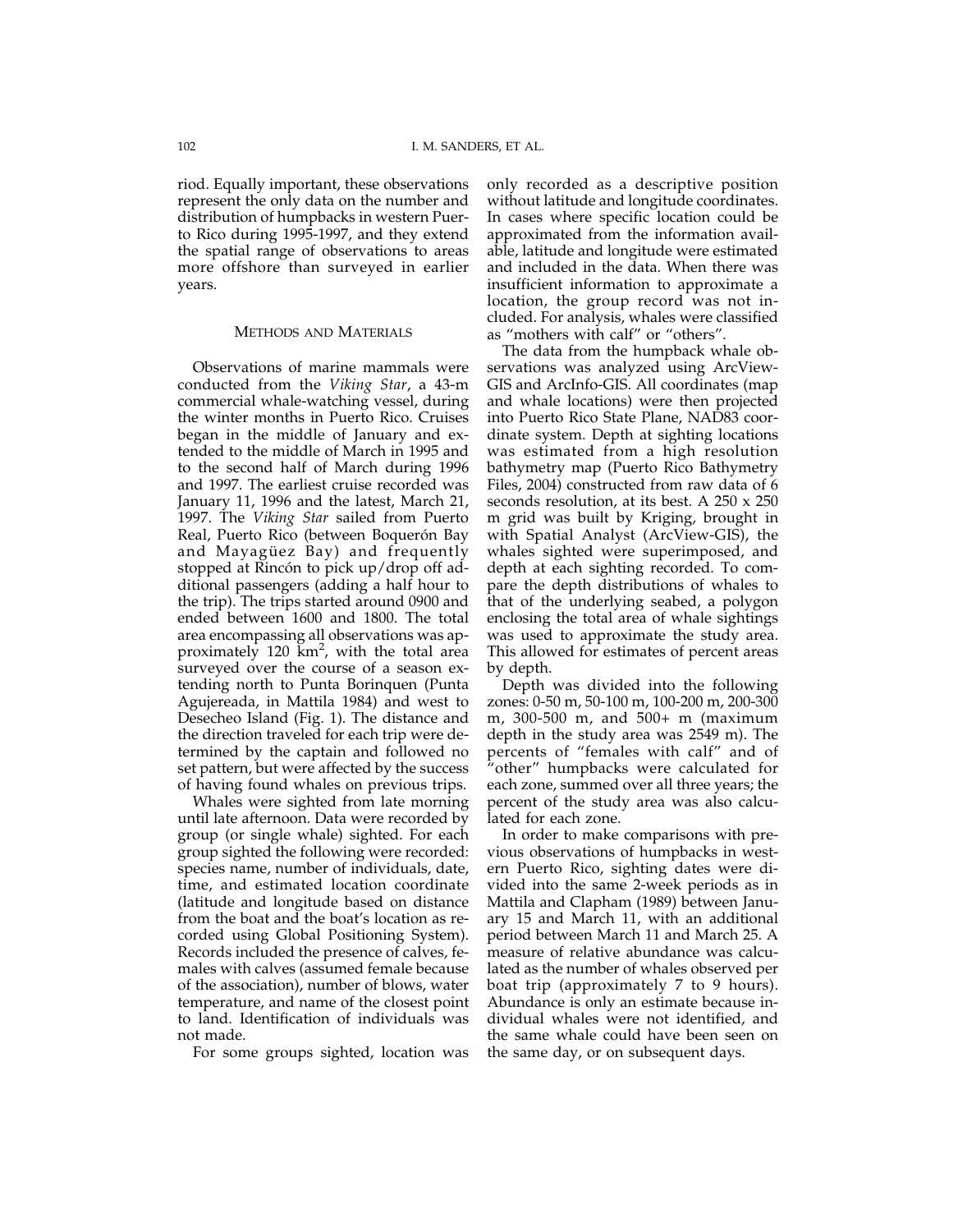riod. Equally important, these observations represent the only data on the number and distribution of humpbacks in western Puerto Rico during 1995-1997, and they extend the spatial range of observations to areas more offshore than surveyed in earlier years.

### METHODS AND MATERIALS

Observations of marine mammals were conducted from the *Viking Star*, a 43-m commercial whale-watching vessel, during the winter months in Puerto Rico. Cruises began in the middle of January and extended to the middle of March in 1995 and to the second half of March during 1996 and 1997. The earliest cruise recorded was January 11, 1996 and the latest, March 21, 1997. The *Viking Star* sailed from Puerto Real, Puerto Rico (between Boquerón Bay and Mayagüez Bay) and frequently stopped at Rincón to pick up/drop off additional passengers (adding a half hour to the trip). The trips started around 0900 and ended between 1600 and 1800. The total area encompassing all observations was approximately 120  $\text{km}^2$ , with the total area surveyed over the course of a season extending north to Punta Borinquen (Punta Agujereada, in Mattila 1984) and west to Desecheo Island (Fig. 1). The distance and the direction traveled for each trip were determined by the captain and followed no set pattern, but were affected by the success of having found whales on previous trips.

Whales were sighted from late morning until late afternoon. Data were recorded by group (or single whale) sighted. For each group sighted the following were recorded: species name, number of individuals, date, time, and estimated location coordinate (latitude and longitude based on distance from the boat and the boat's location as recorded using Global Positioning System). Records included the presence of calves, females with calves (assumed female because of the association), number of blows, water temperature, and name of the closest point to land. Identification of individuals was not made.

For some groups sighted, location was

only recorded as a descriptive position without latitude and longitude coordinates. In cases where specific location could be approximated from the information available, latitude and longitude were estimated and included in the data. When there was insufficient information to approximate a location, the group record was not included. For analysis, whales were classified as "mothers with calf" or "others".

The data from the humpback whale observations was analyzed using ArcView-GIS and ArcInfo-GIS. All coordinates (map and whale locations) were then projected into Puerto Rico State Plane, NAD83 coordinate system. Depth at sighting locations was estimated from a high resolution bathymetry map (Puerto Rico Bathymetry Files, 2004) constructed from raw data of 6 seconds resolution, at its best. A 250 x 250 m grid was built by Kriging, brought in with Spatial Analyst (ArcView-GIS), the whales sighted were superimposed, and depth at each sighting recorded. To compare the depth distributions of whales to that of the underlying seabed, a polygon enclosing the total area of whale sightings was used to approximate the study area. This allowed for estimates of percent areas by depth.

Depth was divided into the following zones: 0-50 m, 50-100 m, 100-200 m, 200-300 m, 300-500 m, and 500+ m (maximum depth in the study area was 2549 m). The percents of "females with calf" and of "other" humpbacks were calculated for each zone, summed over all three years; the percent of the study area was also calculated for each zone.

In order to make comparisons with previous observations of humpbacks in western Puerto Rico, sighting dates were divided into the same 2-week periods as in Mattila and Clapham (1989) between January 15 and March 11, with an additional period between March 11 and March 25. A measure of relative abundance was calculated as the number of whales observed per boat trip (approximately 7 to 9 hours). Abundance is only an estimate because individual whales were not identified, and the same whale could have been seen on the same day, or on subsequent days.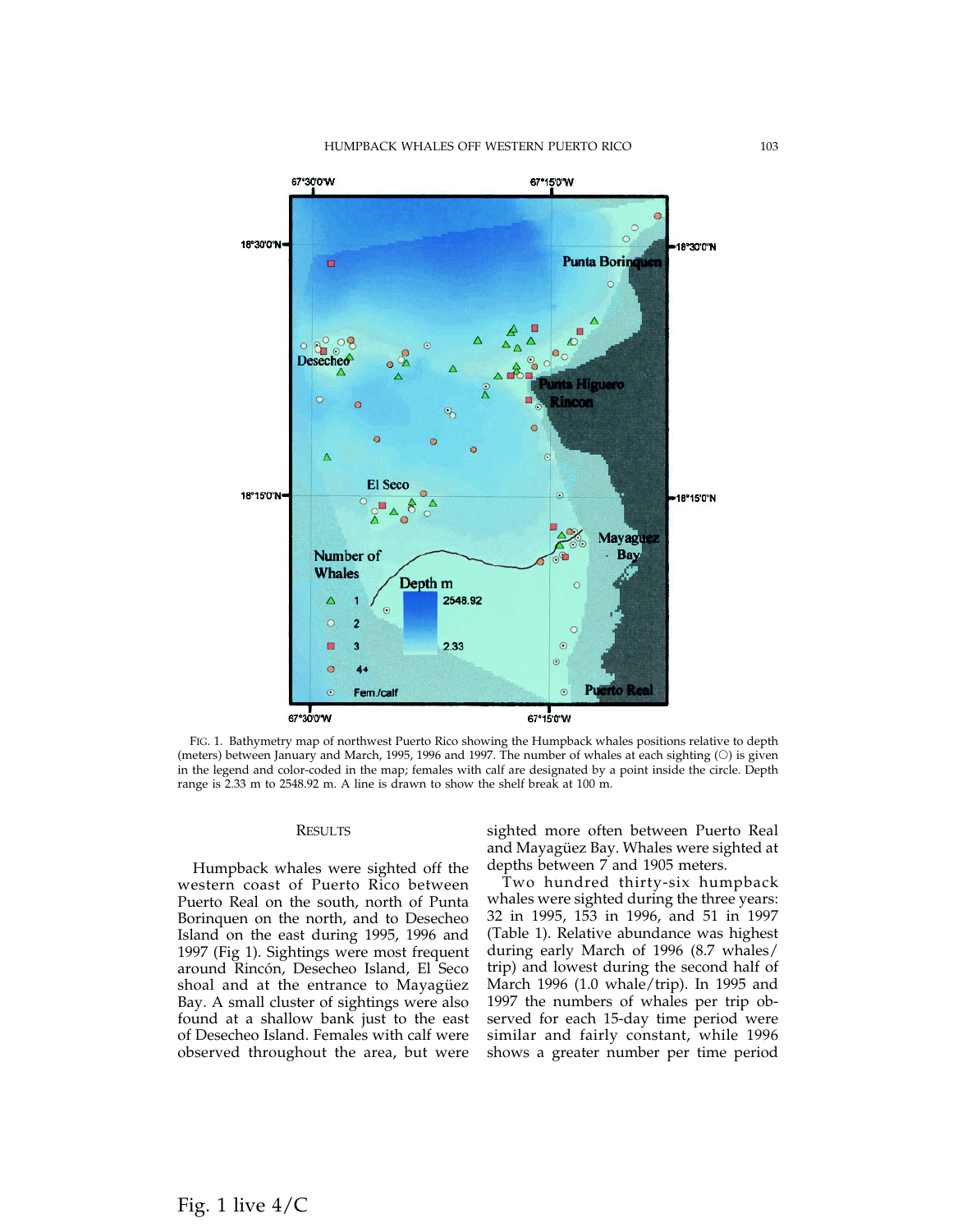

FIG. 1. Bathymetry map of northwest Puerto Rico showing the Humpback whales positions relative to depth (meters) between January and March, 1995, 1996 and 1997. The number of whales at each sighting  $(O)$  is given in the legend and color-coded in the map; females with calf are designated by a point inside the circle. Depth range is 2.33 m to 2548.92 m. A line is drawn to show the shelf break at 100 m.

# RESULTS

Humpback whales were sighted off the western coast of Puerto Rico between Puerto Real on the south, north of Punta Borinquen on the north, and to Desecheo Island on the east during 1995, 1996 and 1997 (Fig 1). Sightings were most frequent around Rincón, Desecheo Island, El Seco shoal and at the entrance to Mayagüez Bay. A small cluster of sightings were also found at a shallow bank just to the east of Desecheo Island. Females with calf were observed throughout the area, but were sighted more often between Puerto Real and Mayagüez Bay. Whales were sighted at depths between 7 and 1905 meters.

Two hundred thirty-six humpback whales were sighted during the three years: 32 in 1995, 153 in 1996, and 51 in 1997 (Table 1). Relative abundance was highest during early March of 1996 (8.7 whales/ trip) and lowest during the second half of March 1996 (1.0 whale/trip). In 1995 and 1997 the numbers of whales per trip observed for each 15-day time period were similar and fairly constant, while 1996 shows a greater number per time period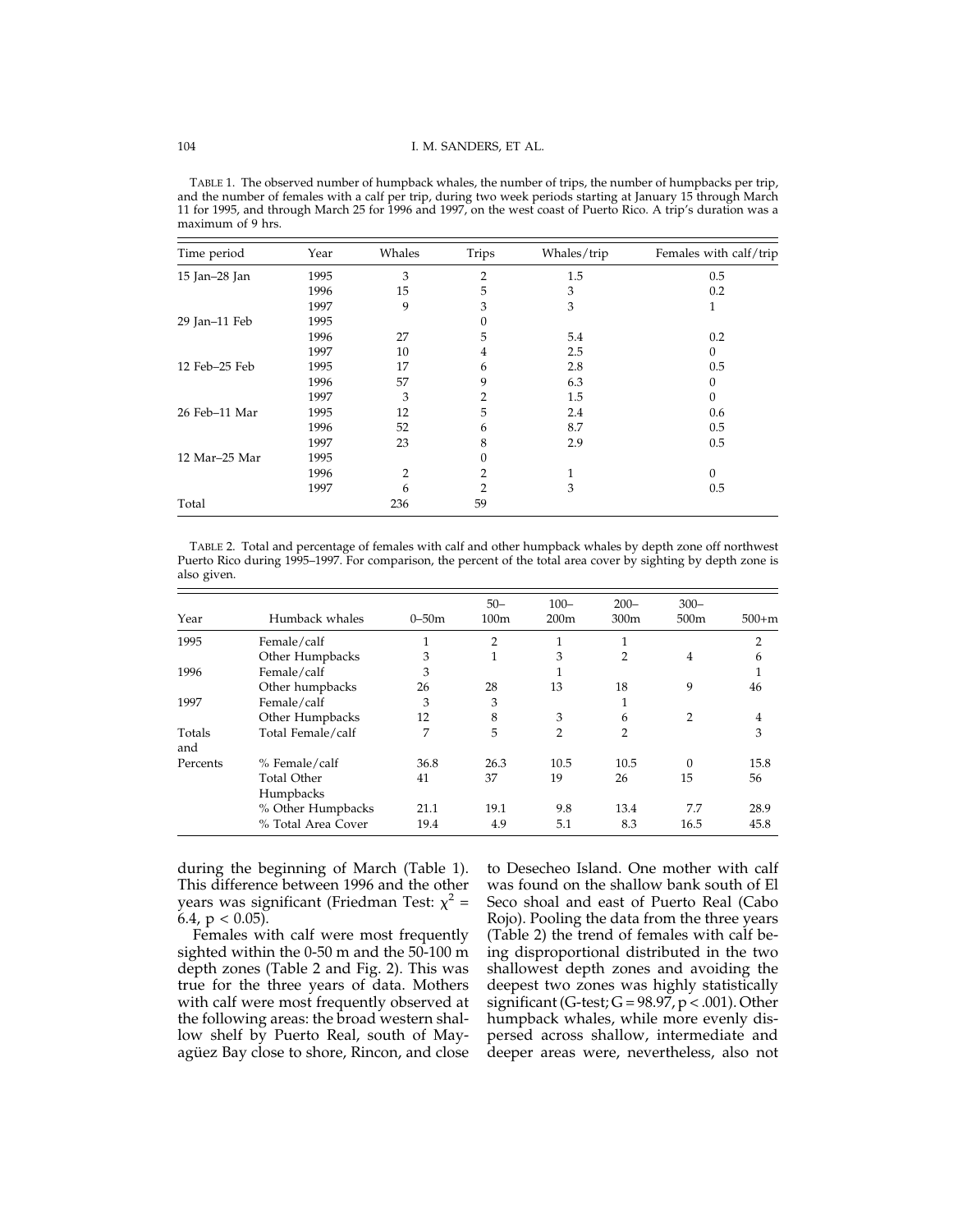TABLE 1. The observed number of humpback whales, the number of trips, the number of humpbacks per trip, and the number of females with a calf per trip, during two week periods starting at January 15 through March 11 for 1995, and through March 25 for 1996 and 1997, on the west coast of Puerto Rico. A trip's duration was a maximum of 9 hrs.

| Time period   | Year | Whales         | Trips | Whales/trip | Females with calf/trip |
|---------------|------|----------------|-------|-------------|------------------------|
| 15 Jan-28 Jan | 1995 | 3              | 2     | 1.5         | 0.5                    |
|               | 1996 | 15             | 5     | 3           | 0.2                    |
|               | 1997 | 9              | 3     | 3           | 1                      |
| 29 Jan-11 Feb | 1995 |                | 0     |             |                        |
|               | 1996 | 27             | 5     | 5.4         | 0.2                    |
|               | 1997 | 10             | 4     | 2.5         | 0                      |
| 12 Feb-25 Feb | 1995 | 17             | 6     | 2.8         | 0.5                    |
|               | 1996 | 57             | 9     | 6.3         | 0                      |
|               | 1997 | 3              | 2     | 1.5         | $\Omega$               |
| 26 Feb-11 Mar | 1995 | 12             | 5     | 2.4         | 0.6                    |
|               | 1996 | 52             | 6     | 8.7         | 0.5                    |
|               | 1997 | 23             | 8     | 2.9         | 0.5                    |
| 12 Mar-25 Mar | 1995 |                |       |             |                        |
|               | 1996 | $\overline{2}$ | 2     |             | $\Omega$               |
|               | 1997 | 6              | っ     | 3           | 0.5                    |
| Total         |      | 236            | 59    |             |                        |

TABLE 2. Total and percentage of females with calf and other humpback whales by depth zone off northwest Puerto Rico during 1995–1997. For comparison, the percent of the total area cover by sighting by depth zone is also given.

| Year          | Humback whales                  | $0 - 50m$ | $50 -$<br>100 <sub>m</sub> | $100 -$<br>200 <sub>m</sub> | $200 -$<br>300m | $300 -$<br>500 <sub>m</sub> | $500+m$ |
|---------------|---------------------------------|-----------|----------------------------|-----------------------------|-----------------|-----------------------------|---------|
| 1995          | Female/calf                     |           | $\overline{2}$             | 1                           | 1               |                             | 2       |
|               | Other Humpbacks                 | 3         |                            | 3                           | 2               | 4                           | 6       |
| 1996          | Female/calf                     | 3         |                            |                             |                 |                             |         |
|               | Other humpbacks                 | 26        | 28                         | 13                          | 18              | 9                           | 46      |
| 1997          | Female/calf                     | 3         | 3                          |                             |                 |                             |         |
|               | Other Humpbacks                 | 12        | 8                          | 3                           | 6               | 2                           | 4       |
| Totals<br>and | Total Female/calf               | 7         | 5                          | $\overline{2}$              | 2               |                             | 3       |
| Percents      | % Female/calf                   | 36.8      | 26.3                       | 10.5                        | 10.5            | 0                           | 15.8    |
|               | <b>Total Other</b><br>Humpbacks | 41        | 37                         | 19                          | 26              | 15                          | 56      |
|               | % Other Humpbacks               | 21.1      | 19.1                       | 9.8                         | 13.4            | 7.7                         | 28.9    |
|               | % Total Area Cover              | 19.4      | 4.9                        | 5.1                         | 8.3             | 16.5                        | 45.8    |

during the beginning of March (Table 1). This difference between 1996 and the other years was significant (Friedman Test:  $\chi^2$  = 6.4,  $p < 0.05$ ).

Females with calf were most frequently sighted within the 0-50 m and the  $50-100$  m depth zones (Table 2 and Fig. 2). This was true for the three years of data. Mothers with calf were most frequently observed at the following areas: the broad western shallow shelf by Puerto Real, south of Mayagüez Bay close to shore, Rincon, and close

to Desecheo Island. One mother with calf was found on the shallow bank south of El Seco shoal and east of Puerto Real (Cabo Rojo). Pooling the data from the three years (Table 2) the trend of females with calf being disproportional distributed in the two shallowest depth zones and avoiding the deepest two zones was highly statistically significant (G-test;  $G = 98.97$ ,  $p < .001$ ). Other humpback whales, while more evenly dispersed across shallow, intermediate and deeper areas were, nevertheless, also not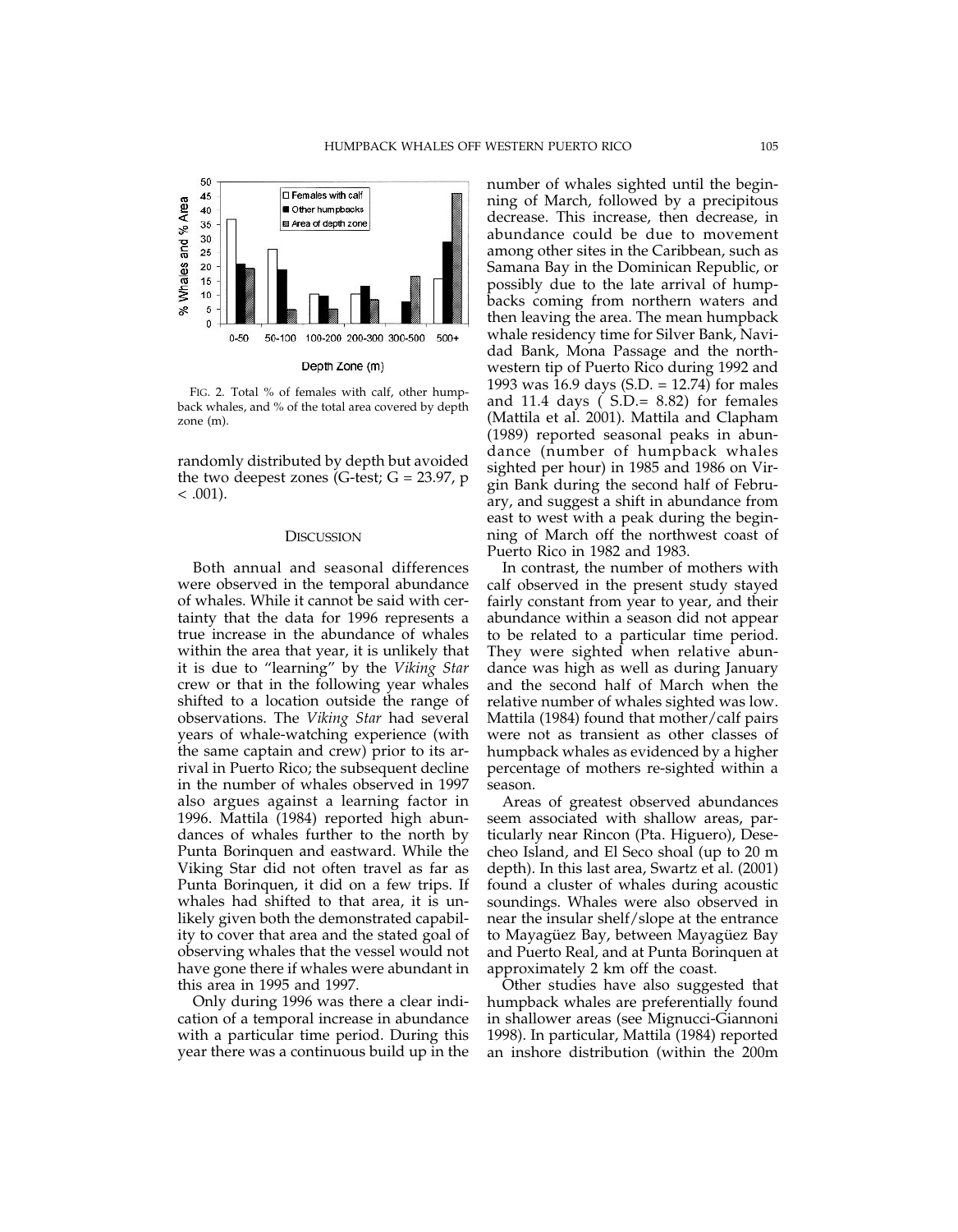

FIG. 2. Total % of females with calf, other humpback whales, and % of the total area covered by depth zone (m).

randomly distributed by depth but avoided the two deepest zones (G-test;  $G = 23.97$ , p  $< .001$ ).

### **DISCUSSION**

Both annual and seasonal differences were observed in the temporal abundance of whales. While it cannot be said with certainty that the data for 1996 represents a true increase in the abundance of whales within the area that year, it is unlikely that it is due to "learning" by the *Viking Star* crew or that in the following year whales shifted to a location outside the range of observations. The *Viking Star* had several years of whale-watching experience (with the same captain and crew) prior to its arrival in Puerto Rico; the subsequent decline in the number of whales observed in 1997 also argues against a learning factor in 1996. Mattila (1984) reported high abundances of whales further to the north by Punta Borinquen and eastward. While the Viking Star did not often travel as far as Punta Borinquen, it did on a few trips. If whales had shifted to that area, it is unlikely given both the demonstrated capability to cover that area and the stated goal of observing whales that the vessel would not have gone there if whales were abundant in this area in 1995 and 1997.

Only during 1996 was there a clear indication of a temporal increase in abundance with a particular time period. During this year there was a continuous build up in the number of whales sighted until the beginning of March, followed by a precipitous decrease. This increase, then decrease, in abundance could be due to movement among other sites in the Caribbean, such as Samana Bay in the Dominican Republic, or possibly due to the late arrival of humpbacks coming from northern waters and then leaving the area. The mean humpback whale residency time for Silver Bank, Navidad Bank, Mona Passage and the northwestern tip of Puerto Rico during 1992 and 1993 was 16.9 days (S.D. = 12.74) for males and 11.4 days ( S.D.= 8.82) for females (Mattila et al. 2001). Mattila and Clapham (1989) reported seasonal peaks in abundance (number of humpback whales sighted per hour) in 1985 and 1986 on Virgin Bank during the second half of February, and suggest a shift in abundance from east to west with a peak during the beginning of March off the northwest coast of Puerto Rico in 1982 and 1983.

In contrast, the number of mothers with calf observed in the present study stayed fairly constant from year to year, and their abundance within a season did not appear to be related to a particular time period. They were sighted when relative abundance was high as well as during January and the second half of March when the relative number of whales sighted was low. Mattila (1984) found that mother/calf pairs were not as transient as other classes of humpback whales as evidenced by a higher percentage of mothers re-sighted within a season.

Areas of greatest observed abundances seem associated with shallow areas, particularly near Rincon (Pta. Higuero), Desecheo Island, and El Seco shoal (up to 20 m depth). In this last area, Swartz et al. (2001) found a cluster of whales during acoustic soundings. Whales were also observed in near the insular shelf/slope at the entrance to Mayagüez Bay, between Mayagüez Bay and Puerto Real, and at Punta Borinquen at approximately 2 km off the coast.

Other studies have also suggested that humpback whales are preferentially found in shallower areas (see Mignucci-Giannoni 1998). In particular, Mattila (1984) reported an inshore distribution (within the 200m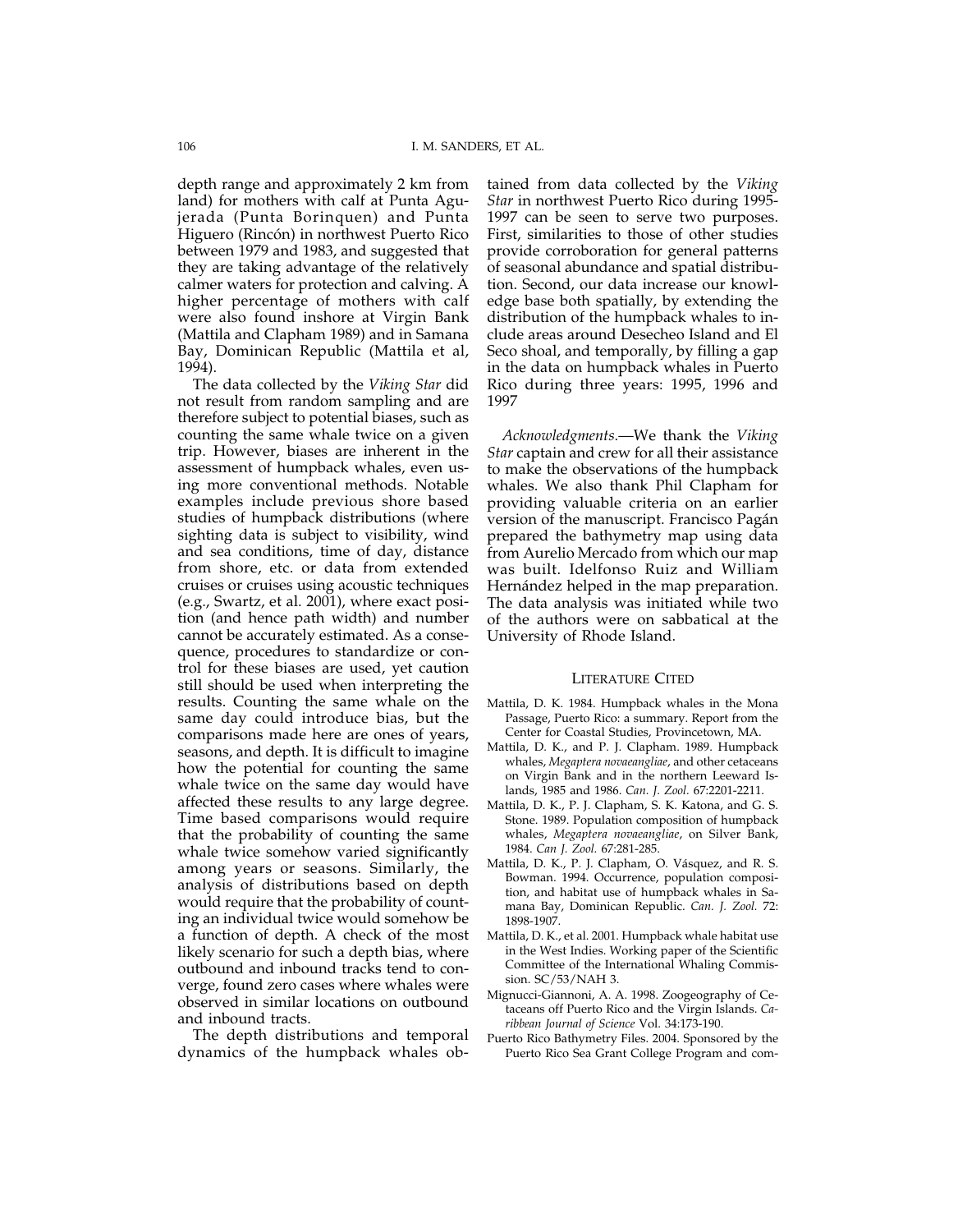depth range and approximately 2 km from land) for mothers with calf at Punta Agujerada (Punta Borinquen) and Punta Higuero (Rincón) in northwest Puerto Rico between 1979 and 1983, and suggested that they are taking advantage of the relatively calmer waters for protection and calving. A higher percentage of mothers with calf were also found inshore at Virgin Bank (Mattila and Clapham 1989) and in Samana Bay, Dominican Republic (Mattila et al, 1994).

The data collected by the *Viking Star* did not result from random sampling and are therefore subject to potential biases, such as counting the same whale twice on a given trip. However, biases are inherent in the assessment of humpback whales, even using more conventional methods. Notable examples include previous shore based studies of humpback distributions (where sighting data is subject to visibility, wind and sea conditions, time of day, distance from shore, etc. or data from extended cruises or cruises using acoustic techniques (e.g., Swartz, et al. 2001), where exact position (and hence path width) and number cannot be accurately estimated. As a consequence, procedures to standardize or control for these biases are used, yet caution still should be used when interpreting the results. Counting the same whale on the same day could introduce bias, but the comparisons made here are ones of years, seasons, and depth. It is difficult to imagine how the potential for counting the same whale twice on the same day would have affected these results to any large degree. Time based comparisons would require that the probability of counting the same whale twice somehow varied significantly among years or seasons. Similarly, the analysis of distributions based on depth would require that the probability of counting an individual twice would somehow be a function of depth. A check of the most likely scenario for such a depth bias, where outbound and inbound tracks tend to converge, found zero cases where whales were observed in similar locations on outbound and inbound tracts.

The depth distributions and temporal dynamics of the humpback whales ob-

tained from data collected by the *Viking Star* in northwest Puerto Rico during 1995- 1997 can be seen to serve two purposes. First, similarities to those of other studies provide corroboration for general patterns of seasonal abundance and spatial distribution. Second, our data increase our knowledge base both spatially, by extending the distribution of the humpback whales to include areas around Desecheo Island and El Seco shoal, and temporally, by filling a gap in the data on humpback whales in Puerto Rico during three years: 1995, 1996 and 1997

*Acknowledgments*.—We thank the *Viking Star* captain and crew for all their assistance to make the observations of the humpback whales. We also thank Phil Clapham for providing valuable criteria on an earlier version of the manuscript. Francisco Pagán prepared the bathymetry map using data from Aurelio Mercado from which our map was built. Idelfonso Ruiz and William Hernández helped in the map preparation. The data analysis was initiated while two of the authors were on sabbatical at the University of Rhode Island.

### LITERATURE CITED

- Mattila, D. K. 1984. Humpback whales in the Mona Passage, Puerto Rico: a summary. Report from the Center for Coastal Studies, Provincetown, MA.
- Mattila, D. K., and P. J. Clapham. 1989. Humpback whales, *Megaptera novaeangliae*, and other cetaceans on Virgin Bank and in the northern Leeward Islands, 1985 and 1986. *Can. J. Zool.* 67:2201-2211.
- Mattila, D. K., P. J. Clapham, S. K. Katona, and G. S. Stone. 1989. Population composition of humpback whales, *Megaptera novaeangliae*, on Silver Bank, 1984. *Can J. Zool.* 67:281-285.
- Mattila, D. K., P. J. Clapham, O. Vásquez, and R. S. Bowman. 1994. Occurrence, population composition, and habitat use of humpback whales in Samana Bay, Dominican Republic. *Can. J. Zool.* 72: 1898-1907.
- Mattila, D. K., et al. 2001. Humpback whale habitat use in the West Indies. Working paper of the Scientific Committee of the International Whaling Commission. SC/53/NAH 3.
- Mignucci-Giannoni, A. A. 1998. Zoogeography of Cetaceans off Puerto Rico and the Virgin Islands. *Caribbean Journal of Science* Vol. 34:173-190.
- Puerto Rico Bathymetry Files. 2004. Sponsored by the Puerto Rico Sea Grant College Program and com-